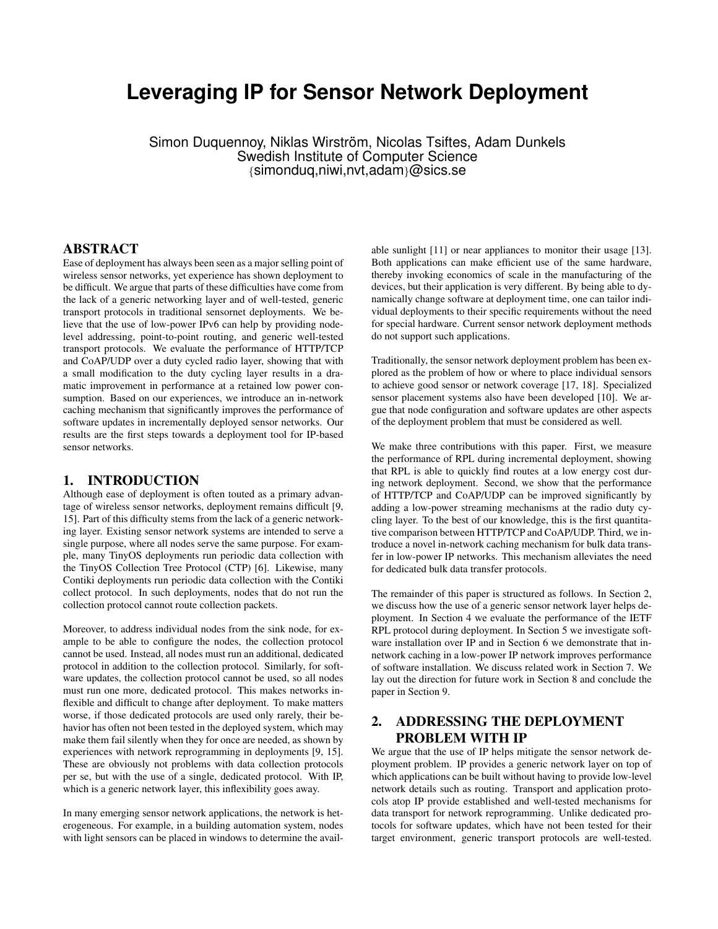# **Leveraging IP for Sensor Network Deployment**

Simon Duquennoy, Niklas Wirström, Nicolas Tsiftes, Adam Dunkels Swedish Institute of Computer Science {simonduq,niwi,nvt,adam}@sics.se

### ABSTRACT

Ease of deployment has always been seen as a major selling point of wireless sensor networks, yet experience has shown deployment to be difficult. We argue that parts of these difficulties have come from the lack of a generic networking layer and of well-tested, generic transport protocols in traditional sensornet deployments. We believe that the use of low-power IPv6 can help by providing nodelevel addressing, point-to-point routing, and generic well-tested transport protocols. We evaluate the performance of HTTP/TCP and CoAP/UDP over a duty cycled radio layer, showing that with a small modification to the duty cycling layer results in a dramatic improvement in performance at a retained low power consumption. Based on our experiences, we introduce an in-network caching mechanism that significantly improves the performance of software updates in incrementally deployed sensor networks. Our results are the first steps towards a deployment tool for IP-based sensor networks.

## 1. INTRODUCTION

Although ease of deployment is often touted as a primary advantage of wireless sensor networks, deployment remains difficult [9, 15]. Part of this difficulty stems from the lack of a generic networking layer. Existing sensor network systems are intended to serve a single purpose, where all nodes serve the same purpose. For example, many TinyOS deployments run periodic data collection with the TinyOS Collection Tree Protocol (CTP) [6]. Likewise, many Contiki deployments run periodic data collection with the Contiki collect protocol. In such deployments, nodes that do not run the collection protocol cannot route collection packets.

Moreover, to address individual nodes from the sink node, for example to be able to configure the nodes, the collection protocol cannot be used. Instead, all nodes must run an additional, dedicated protocol in addition to the collection protocol. Similarly, for software updates, the collection protocol cannot be used, so all nodes must run one more, dedicated protocol. This makes networks inflexible and difficult to change after deployment. To make matters worse, if those dedicated protocols are used only rarely, their behavior has often not been tested in the deployed system, which may make them fail silently when they for once are needed, as shown by experiences with network reprogramming in deployments [9, 15]. These are obviously not problems with data collection protocols per se, but with the use of a single, dedicated protocol. With IP, which is a generic network layer, this inflexibility goes away.

In many emerging sensor network applications, the network is heterogeneous. For example, in a building automation system, nodes with light sensors can be placed in windows to determine the avail-

able sunlight [11] or near appliances to monitor their usage [13]. Both applications can make efficient use of the same hardware, thereby invoking economics of scale in the manufacturing of the devices, but their application is very different. By being able to dynamically change software at deployment time, one can tailor individual deployments to their specific requirements without the need for special hardware. Current sensor network deployment methods do not support such applications.

Traditionally, the sensor network deployment problem has been explored as the problem of how or where to place individual sensors to achieve good sensor or network coverage [17, 18]. Specialized sensor placement systems also have been developed [10]. We argue that node configuration and software updates are other aspects of the deployment problem that must be considered as well.

We make three contributions with this paper. First, we measure the performance of RPL during incremental deployment, showing that RPL is able to quickly find routes at a low energy cost during network deployment. Second, we show that the performance of HTTP/TCP and CoAP/UDP can be improved significantly by adding a low-power streaming mechanisms at the radio duty cycling layer. To the best of our knowledge, this is the first quantitative comparison between HTTP/TCP and CoAP/UDP. Third, we introduce a novel in-network caching mechanism for bulk data transfer in low-power IP networks. This mechanism alleviates the need for dedicated bulk data transfer protocols.

The remainder of this paper is structured as follows. In Section 2, we discuss how the use of a generic sensor network layer helps deployment. In Section 4 we evaluate the performance of the IETF RPL protocol during deployment. In Section 5 we investigate software installation over IP and in Section 6 we demonstrate that innetwork caching in a low-power IP network improves performance of software installation. We discuss related work in Section 7. We lay out the direction for future work in Section 8 and conclude the paper in Section 9.

## 2. ADDRESSING THE DEPLOYMENT PROBLEM WITH IP

We argue that the use of IP helps mitigate the sensor network deployment problem. IP provides a generic network layer on top of which applications can be built without having to provide low-level network details such as routing. Transport and application protocols atop IP provide established and well-tested mechanisms for data transport for network reprogramming. Unlike dedicated protocols for software updates, which have not been tested for their target environment, generic transport protocols are well-tested.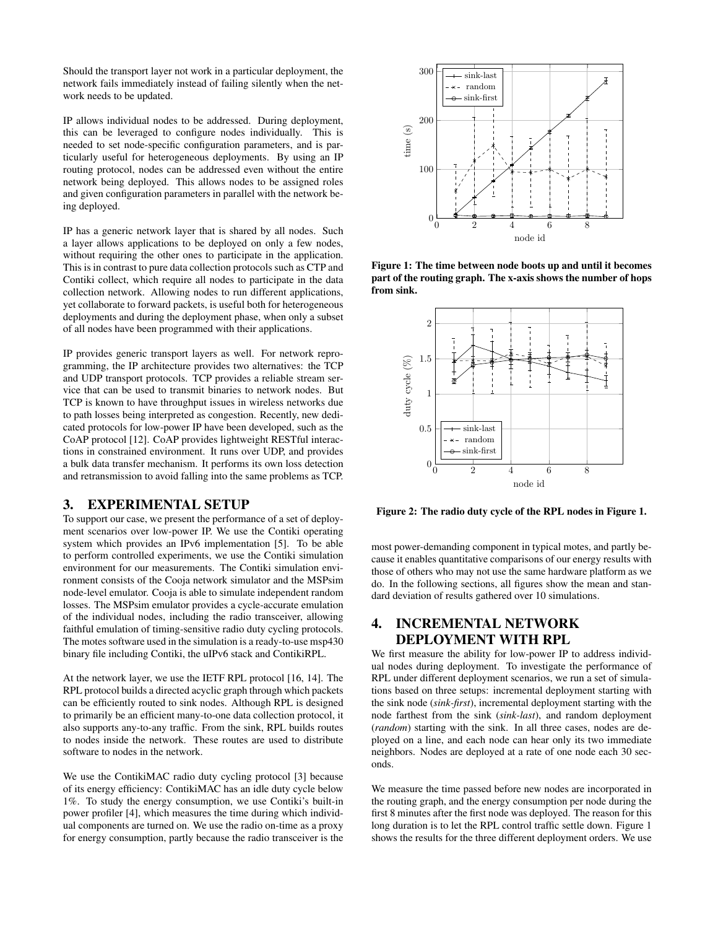Should the transport layer not work in a particular deployment, the network fails immediately instead of failing silently when the network needs to be updated.

IP allows individual nodes to be addressed. During deployment, this can be leveraged to configure nodes individually. This is needed to set node-specific configuration parameters, and is particularly useful for heterogeneous deployments. By using an IP routing protocol, nodes can be addressed even without the entire network being deployed. This allows nodes to be assigned roles and given configuration parameters in parallel with the network being deployed.

IP has a generic network layer that is shared by all nodes. Such a layer allows applications to be deployed on only a few nodes, without requiring the other ones to participate in the application. This is in contrast to pure data collection protocols such as CTP and Contiki collect, which require all nodes to participate in the data collection network. Allowing nodes to run different applications, yet collaborate to forward packets, is useful both for heterogeneous deployments and during the deployment phase, when only a subset of all nodes have been programmed with their applications.

IP provides generic transport layers as well. For network reprogramming, the IP architecture provides two alternatives: the TCP and UDP transport protocols. TCP provides a reliable stream service that can be used to transmit binaries to network nodes. But TCP is known to have throughput issues in wireless networks due to path losses being interpreted as congestion. Recently, new dedicated protocols for low-power IP have been developed, such as the CoAP protocol [12]. CoAP provides lightweight RESTful interactions in constrained environment. It runs over UDP, and provides a bulk data transfer mechanism. It performs its own loss detection and retransmission to avoid falling into the same problems as TCP.

## 3. EXPERIMENTAL SETUP

To support our case, we present the performance of a set of deployment scenarios over low-power IP. We use the Contiki operating system which provides an IPv6 implementation [5]. To be able to perform controlled experiments, we use the Contiki simulation environment for our measurements. The Contiki simulation environment consists of the Cooja network simulator and the MSPsim node-level emulator. Cooja is able to simulate independent random losses. The MSPsim emulator provides a cycle-accurate emulation of the individual nodes, including the radio transceiver, allowing faithful emulation of timing-sensitive radio duty cycling protocols. The motes software used in the simulation is a ready-to-use msp430 binary file including Contiki, the uIPv6 stack and ContikiRPL.

At the network layer, we use the IETF RPL protocol [16, 14]. The RPL protocol builds a directed acyclic graph through which packets can be efficiently routed to sink nodes. Although RPL is designed to primarily be an efficient many-to-one data collection protocol, it also supports any-to-any traffic. From the sink, RPL builds routes to nodes inside the network. These routes are used to distribute software to nodes in the network.

We use the ContikiMAC radio duty cycling protocol [3] because of its energy efficiency: ContikiMAC has an idle duty cycle below 1%. To study the energy consumption, we use Contiki's built-in power profiler [4], which measures the time during which individual components are turned on. We use the radio on-time as a proxy for energy consumption, partly because the radio transceiver is the



Figure 1: The time between node boots up and until it becomes part of the routing graph. The x-axis shows the number of hops from sink.



Figure 2: The radio duty cycle of the RPL nodes in Figure 1.

most power-demanding component in typical motes, and partly because it enables quantitative comparisons of our energy results with those of others who may not use the same hardware platform as we do. In the following sections, all figures show the mean and standard deviation of results gathered over 10 simulations.

## 4. INCREMENTAL NETWORK DEPLOYMENT WITH RPL

We first measure the ability for low-power IP to address individual nodes during deployment. To investigate the performance of RPL under different deployment scenarios, we run a set of simulations based on three setups: incremental deployment starting with the sink node (*sink-first*), incremental deployment starting with the node farthest from the sink (*sink-last*), and random deployment (*random*) starting with the sink. In all three cases, nodes are deployed on a line, and each node can hear only its two immediate neighbors. Nodes are deployed at a rate of one node each 30 seconds.

We measure the time passed before new nodes are incorporated in the routing graph, and the energy consumption per node during the first 8 minutes after the first node was deployed. The reason for this long duration is to let the RPL control traffic settle down. Figure 1 shows the results for the three different deployment orders. We use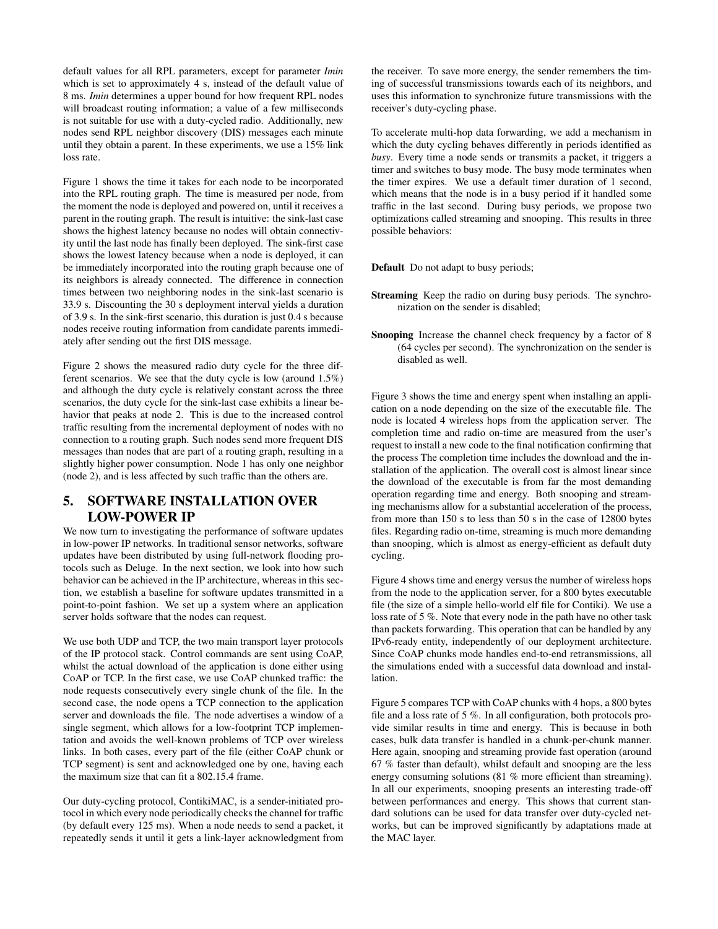default values for all RPL parameters, except for parameter *Imin* which is set to approximately 4 s, instead of the default value of 8 ms. *Imin* determines a upper bound for how frequent RPL nodes will broadcast routing information; a value of a few milliseconds is not suitable for use with a duty-cycled radio. Additionally, new nodes send RPL neighbor discovery (DIS) messages each minute until they obtain a parent. In these experiments, we use a 15% link loss rate.

Figure 1 shows the time it takes for each node to be incorporated into the RPL routing graph. The time is measured per node, from the moment the node is deployed and powered on, until it receives a parent in the routing graph. The result is intuitive: the sink-last case shows the highest latency because no nodes will obtain connectivity until the last node has finally been deployed. The sink-first case shows the lowest latency because when a node is deployed, it can be immediately incorporated into the routing graph because one of its neighbors is already connected. The difference in connection times between two neighboring nodes in the sink-last scenario is 33.9 s. Discounting the 30 s deployment interval yields a duration of 3.9 s. In the sink-first scenario, this duration is just 0.4 s because nodes receive routing information from candidate parents immediately after sending out the first DIS message.

Figure 2 shows the measured radio duty cycle for the three different scenarios. We see that the duty cycle is low (around 1.5%) and although the duty cycle is relatively constant across the three scenarios, the duty cycle for the sink-last case exhibits a linear behavior that peaks at node 2. This is due to the increased control traffic resulting from the incremental deployment of nodes with no connection to a routing graph. Such nodes send more frequent DIS messages than nodes that are part of a routing graph, resulting in a slightly higher power consumption. Node 1 has only one neighbor (node 2), and is less affected by such traffic than the others are.

## 5. SOFTWARE INSTALLATION OVER LOW-POWER IP

We now turn to investigating the performance of software updates in low-power IP networks. In traditional sensor networks, software updates have been distributed by using full-network flooding protocols such as Deluge. In the next section, we look into how such behavior can be achieved in the IP architecture, whereas in this section, we establish a baseline for software updates transmitted in a point-to-point fashion. We set up a system where an application server holds software that the nodes can request.

We use both UDP and TCP, the two main transport layer protocols of the IP protocol stack. Control commands are sent using CoAP, whilst the actual download of the application is done either using CoAP or TCP. In the first case, we use CoAP chunked traffic: the node requests consecutively every single chunk of the file. In the second case, the node opens a TCP connection to the application server and downloads the file. The node advertises a window of a single segment, which allows for a low-footprint TCP implementation and avoids the well-known problems of TCP over wireless links. In both cases, every part of the file (either CoAP chunk or TCP segment) is sent and acknowledged one by one, having each the maximum size that can fit a 802.15.4 frame.

Our duty-cycling protocol, ContikiMAC, is a sender-initiated protocol in which every node periodically checks the channel for traffic (by default every 125 ms). When a node needs to send a packet, it repeatedly sends it until it gets a link-layer acknowledgment from the receiver. To save more energy, the sender remembers the timing of successful transmissions towards each of its neighbors, and uses this information to synchronize future transmissions with the receiver's duty-cycling phase.

To accelerate multi-hop data forwarding, we add a mechanism in which the duty cycling behaves differently in periods identified as *busy*. Every time a node sends or transmits a packet, it triggers a timer and switches to busy mode. The busy mode terminates when the timer expires. We use a default timer duration of 1 second, which means that the node is in a busy period if it handled some traffic in the last second. During busy periods, we propose two optimizations called streaming and snooping. This results in three possible behaviors:

Default Do not adapt to busy periods;

- Streaming Keep the radio on during busy periods. The synchronization on the sender is disabled;
- Snooping Increase the channel check frequency by a factor of 8 (64 cycles per second). The synchronization on the sender is disabled as well.

Figure 3 shows the time and energy spent when installing an application on a node depending on the size of the executable file. The node is located 4 wireless hops from the application server. The completion time and radio on-time are measured from the user's request to install a new code to the final notification confirming that the process The completion time includes the download and the installation of the application. The overall cost is almost linear since the download of the executable is from far the most demanding operation regarding time and energy. Both snooping and streaming mechanisms allow for a substantial acceleration of the process, from more than 150 s to less than 50 s in the case of 12800 bytes files. Regarding radio on-time, streaming is much more demanding than snooping, which is almost as energy-efficient as default duty cycling.

Figure 4 shows time and energy versus the number of wireless hops from the node to the application server, for a 800 bytes executable file (the size of a simple hello-world elf file for Contiki). We use a loss rate of 5 %. Note that every node in the path have no other task than packets forwarding. This operation that can be handled by any IPv6-ready entity, independently of our deployment architecture. Since CoAP chunks mode handles end-to-end retransmissions, all the simulations ended with a successful data download and installation.

Figure 5 compares TCP with CoAP chunks with 4 hops, a 800 bytes file and a loss rate of 5 %. In all configuration, both protocols provide similar results in time and energy. This is because in both cases, bulk data transfer is handled in a chunk-per-chunk manner. Here again, snooping and streaming provide fast operation (around 67 % faster than default), whilst default and snooping are the less energy consuming solutions (81 % more efficient than streaming). In all our experiments, snooping presents an interesting trade-off between performances and energy. This shows that current standard solutions can be used for data transfer over duty-cycled networks, but can be improved significantly by adaptations made at the MAC layer.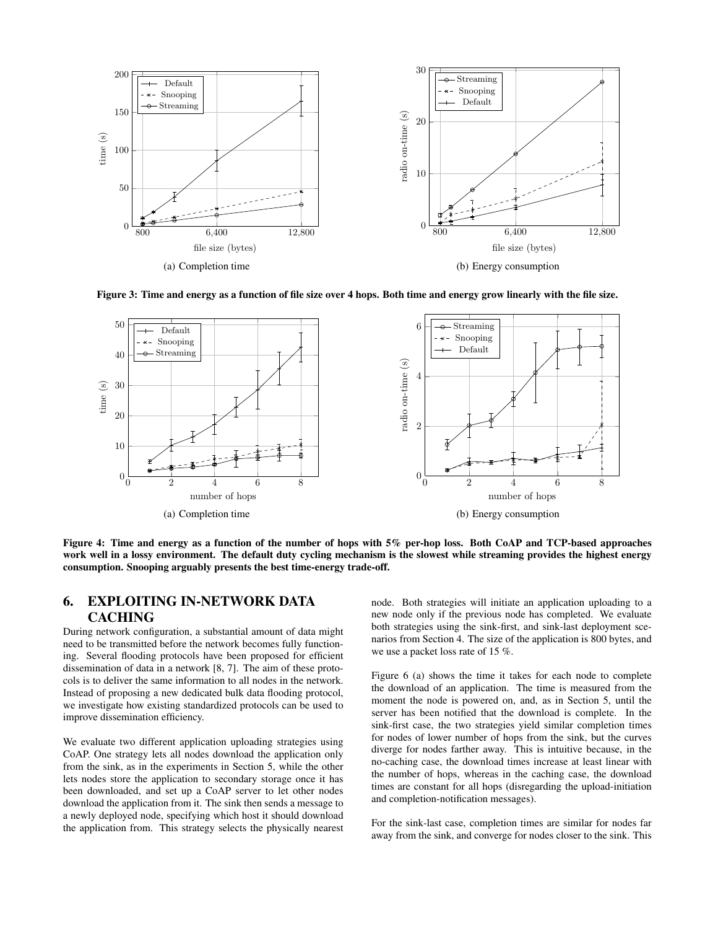

Figure 3: Time and energy as a function of file size over 4 hops. Both time and energy grow linearly with the file size.



Figure 4: Time and energy as a function of the number of hops with 5% per-hop loss. Both CoAP and TCP-based approaches work well in a lossy environment. The default duty cycling mechanism is the slowest while streaming provides the highest energy consumption. Snooping arguably presents the best time-energy trade-off.

## 6. EXPLOITING IN-NETWORK DATA CACHING

During network configuration, a substantial amount of data might need to be transmitted before the network becomes fully functioning. Several flooding protocols have been proposed for efficient dissemination of data in a network [8, 7]. The aim of these protocols is to deliver the same information to all nodes in the network. Instead of proposing a new dedicated bulk data flooding protocol, we investigate how existing standardized protocols can be used to improve dissemination efficiency.

We evaluate two different application uploading strategies using CoAP. One strategy lets all nodes download the application only from the sink, as in the experiments in Section 5, while the other lets nodes store the application to secondary storage once it has been downloaded, and set up a CoAP server to let other nodes download the application from it. The sink then sends a message to a newly deployed node, specifying which host it should download the application from. This strategy selects the physically nearest node. Both strategies will initiate an application uploading to a new node only if the previous node has completed. We evaluate both strategies using the sink-first, and sink-last deployment scenarios from Section 4. The size of the application is 800 bytes, and we use a packet loss rate of 15 %.

Figure 6 (a) shows the time it takes for each node to complete the download of an application. The time is measured from the moment the node is powered on, and, as in Section 5, until the server has been notified that the download is complete. In the sink-first case, the two strategies yield similar completion times for nodes of lower number of hops from the sink, but the curves diverge for nodes farther away. This is intuitive because, in the no-caching case, the download times increase at least linear with the number of hops, whereas in the caching case, the download times are constant for all hops (disregarding the upload-initiation and completion-notification messages).

For the sink-last case, completion times are similar for nodes far away from the sink, and converge for nodes closer to the sink. This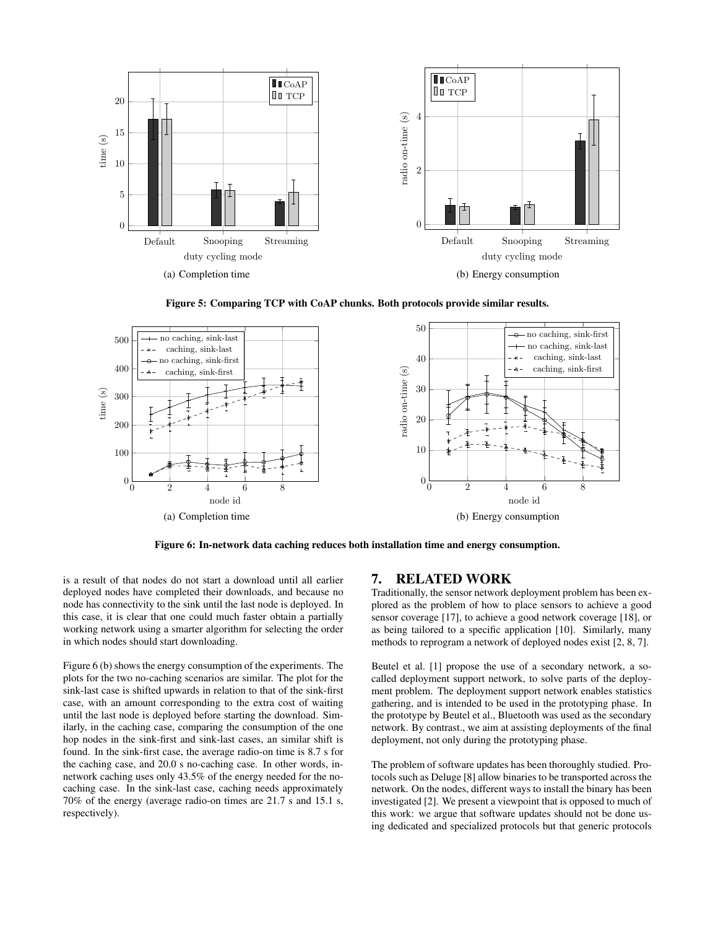

Figure 5: Comparing TCP with CoAP chunks. Both protocols provide similar results.



Figure 6: In-network data caching reduces both installation time and energy consumption.

is a result of that nodes do not start a download until all earlier deployed nodes have completed their downloads, and because no node has connectivity to the sink until the last node is deployed. In this case, it is clear that one could much faster obtain a partially working network using a smarter algorithm for selecting the order in which nodes should start downloading.

Figure 6 (b) shows the energy consumption of the experiments. The plots for the two no-caching scenarios are similar. The plot for the sink-last case is shifted upwards in relation to that of the sink-first case, with an amount corresponding to the extra cost of waiting until the last node is deployed before starting the download. Similarly, in the caching case, comparing the consumption of the one hop nodes in the sink-first and sink-last cases, an similar shift is found. In the sink-first case, the average radio-on time is 8.7 s for the caching case, and 20.0 s no-caching case. In other words, innetwork caching uses only 43.5% of the energy needed for the nocaching case. In the sink-last case, caching needs approximately 70% of the energy (average radio-on times are 21.7 s and 15.1 s, respectively).

#### 7. RELATED WORK

Traditionally, the sensor network deployment problem has been explored as the problem of how to place sensors to achieve a good sensor coverage [17], to achieve a good network coverage [18], or as being tailored to a specific application [10]. Similarly, many methods to reprogram a network of deployed nodes exist [2, 8, 7].

Beutel et al. [1] propose the use of a secondary network, a socalled deployment support network, to solve parts of the deployment problem. The deployment support network enables statistics gathering, and is intended to be used in the prototyping phase. In the prototype by Beutel et al., Bluetooth was used as the secondary network. By contrast., we aim at assisting deployments of the final deployment, not only during the prototyping phase.

The problem of software updates has been thoroughly studied. Protocols such as Deluge [8] allow binaries to be transported across the network. On the nodes, different ways to install the binary has been investigated [2]. We present a viewpoint that is opposed to much of this work: we argue that software updates should not be done using dedicated and specialized protocols but that generic protocols